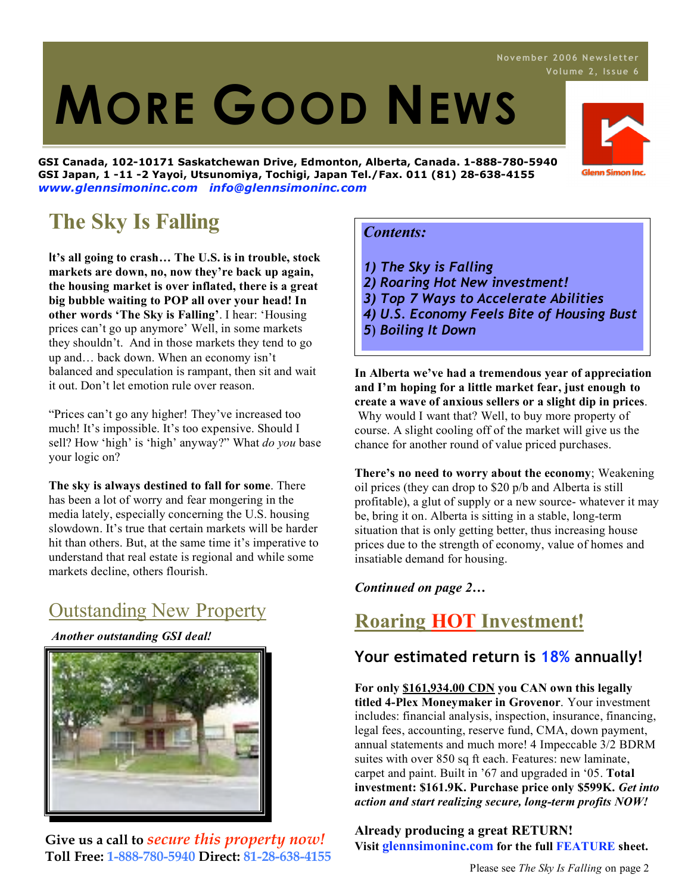# 1. **MORE GOOD NEWS**

**GSI Canada, 102-10171 Saskatchewan Drive, Edmonton, Alberta, Canada. 1-888-780-5940 GSI Japan, 1 -11 -2 Yayoi, Utsunomiya, Tochigi, Japan Tel./Fax. 011 (81) 28-638-4155** *www.glennsimoninc.com info@glennsimoninc.com*

# **The Sky Is Falling**

**It's all going to crash… The U.S. is in trouble, stock markets are down, no, now they're back up again, the housing market is over inflated, there is a great big bubble waiting to POP all over your head! In other words 'The Sky is Falling'**. I hear: 'Housing prices can't go up anymore' Well, in some markets they shouldn't. And in those markets they tend to go up and… back down. When an economy isn't balanced and speculation is rampant, then sit and wait it out. Don't let emotion rule over reason.

"Prices can't go any higher! They've increased too much! It's impossible. It's too expensive. Should I sell? How 'high' is 'high' anyway?" What *do you* base your logic on?

**The sky is always destined to fall for some**. There has been a lot of worry and fear mongering in the media lately, especially concerning the U.S. housing slowdown. It's true that certain markets will be harder hit than others. But, at the same time it's imperative to understand that real estate is regional and while some markets decline, others flourish.

# Outstanding New Property

*Another outstanding GSI deal!*



**Give us a call to** *secure this property now!* **Toll Free: 1-888-780-5940 Direct: 81-28-638-4155**

### *Contents:*

- *1) The Sky is Falling*
- *2) Roaring Hot New investment!*
- *3) Top 7 Ways to Accelerate Abilities*
- *4) U.S. Economy Feels Bite of Housing Bust*
- *5*) *Boiling It Down*

**In Alberta we've had a tremendous year of appreciation and I'm hoping for a little market fear, just enough to create a wave of anxious sellers or a slight dip in prices**. Why would I want that? Well, to buy more property of course. A slight cooling off of the market will give us the chance for another round of value priced purchases.

**There's no need to worry about the economy**; Weakening oil prices (they can drop to \$20 p/b and Alberta is still profitable), a glut of supply or a new source- whatever it may be, bring it on. Alberta is sitting in a stable, long-term situation that is only getting better, thus increasing house prices due to the strength of economy, value of homes and insatiable demand for housing.

### *Continued on page 2…*

## **Roaring HOT Investment!**

### **Your estimated return is 18% annually!**

**For only \$161,934.00 CDN you CAN own this legally titled 4-Plex Moneymaker in Grovenor**. Your investment includes: financial analysis, inspection, insurance, financing, legal fees, accounting, reserve fund, CMA, down payment, annual statements and much more! 4 Impeccable 3/2 BDRM suites with over 850 sq ft each. Features: new laminate, carpet and paint. Built in '67 and upgraded in '05. **Total investment: \$161.9K. Purchase price only \$599K.** *Get into action and start realizing secure, long-term profits NOW!*

### **Already producing a great RETURN! Visit glennsimoninc.com for the full FEATURE sheet.**



# **Novembe r 2006 News l ett er**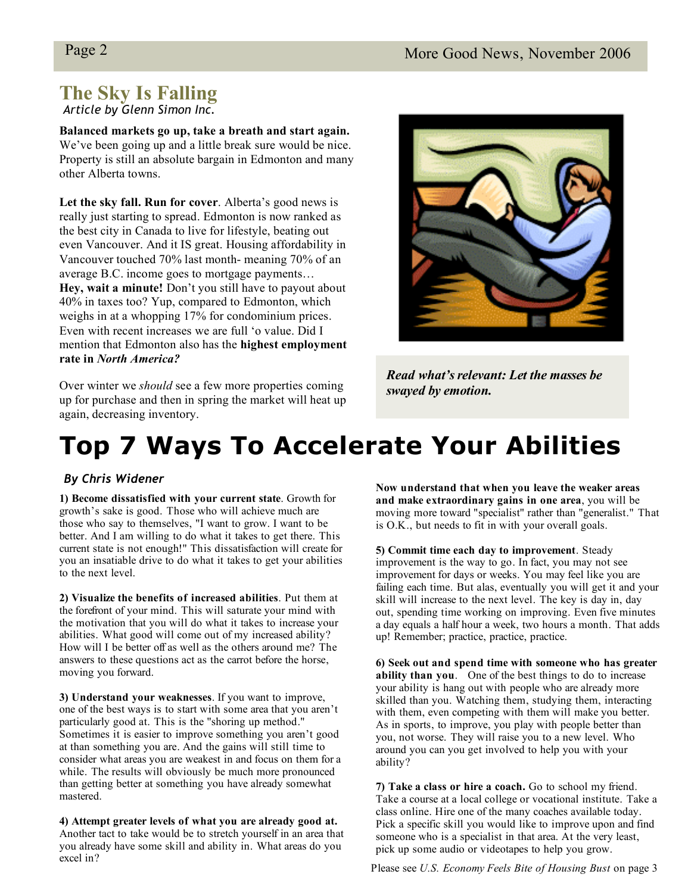# **The Sky Is Falling**

*Article by Glenn Simon Inc.*

**Balanced markets go up, take a breath and start again.** We've been going up and a little break sure would be nice. Property is still an absolute bargain in Edmonton and many other Alberta towns.

**Let the sky fall. Run for cover**. Alberta's good news is really just starting to spread. Edmonton is now ranked as the best city in Canada to live for lifestyle, beating out even Vancouver. And it IS great. Housing affordability in Vancouver touched 70% last month- meaning 70% of an average B.C. income goes to mortgage payments… **Hey, wait a minute!** Don't you still have to payout about 40% in taxes too? Yup, compared to Edmonton, which weighs in at a whopping 17% for condominium prices. Even with recent increases we are full 'o value. Did I mention that Edmonton also has the **highest employment rate in** *North America?*

Over winter we *should* see a few more properties coming up for purchase and then in spring the market will heat up again, decreasing inventory.



*Read what'srelevant: Let the masses be swayed by emotion.*

# **Top 7 Ways To Accelerate Your Abilities**

### *By Chris Widener*

**1) Become dissatisfied with your current state**. Growth for growth's sake is good. Those who will achieve much are those who say to themselves, "I want to grow. I want to be better. And I am willing to do what it takes to get there. This current state is not enough!" This dissatisfaction will create for you an insatiable drive to do what it takes to get your abilities to the next level.

**2) Visualize the benefits of increased abilities**. Put them at the forefront of your mind. This will saturate your mind with the motivation that you will do what it takes to increase your abilities. What good will come out of my increased ability? How will I be better off as well as the others around me? The answers to these questions act as the carrot before the horse, moving you forward.

**3) Understand your weaknesses**. If you want to improve, one of the best ways is to start with some area that you aren't particularly good at. This is the "shoring up method." Sometimes it is easier to improve something you aren't good at than something you are. And the gains will still time to consider what areas you are weakest in and focus on them for a while. The results will obviously be much more pronounced than getting better at something you have already somewhat mastered.

**4) Attempt greater levels of what you are already good at.** Another tact to take would be to stretch yourself in an area that you already have some skill and ability in. What areas do you excel in?

**Now understand that when you leave the weaker areas and make extraordinary gains in one area**, you will be moving more toward "specialist" rather than "generalist." That is O.K., but needs to fit in with your overall goals.

**5) Commit time each day to improvement**. Steady improvement is the way to go. In fact, you may not see improvement for days or weeks. You may feel like you are failing each time. But alas, eventually you will get it and your skill will increase to the next level. The key is day in, day out, spending time working on improving. Even five minutes a day equals a half hour a week, two hours a month. That adds up! Remember; practice, practice, practice.

**6) Seek out and spend time with someone who has greater ability than you**. One of the best things to do to increase your ability is hang out with people who are already more skilled than you. Watching them, studying them, interacting with them, even competing with them will make you better. As in sports, to improve, you play with people better than you, not worse. They will raise you to a new level. Who around you can you get involved to help you with your ability?

**7) Take a class or hire a coach.** Go to school my friend. Take a course at a local college or vocational institute. Take a class online. Hire one of the many coaches available today. Pick a specific skill you would like to improve upon and find someone who is a specialist in that area. At the very least, pick up some audio or videotapes to help you grow.

Please see *U.S. Economy Feels Bite of Housing Bust* on page 3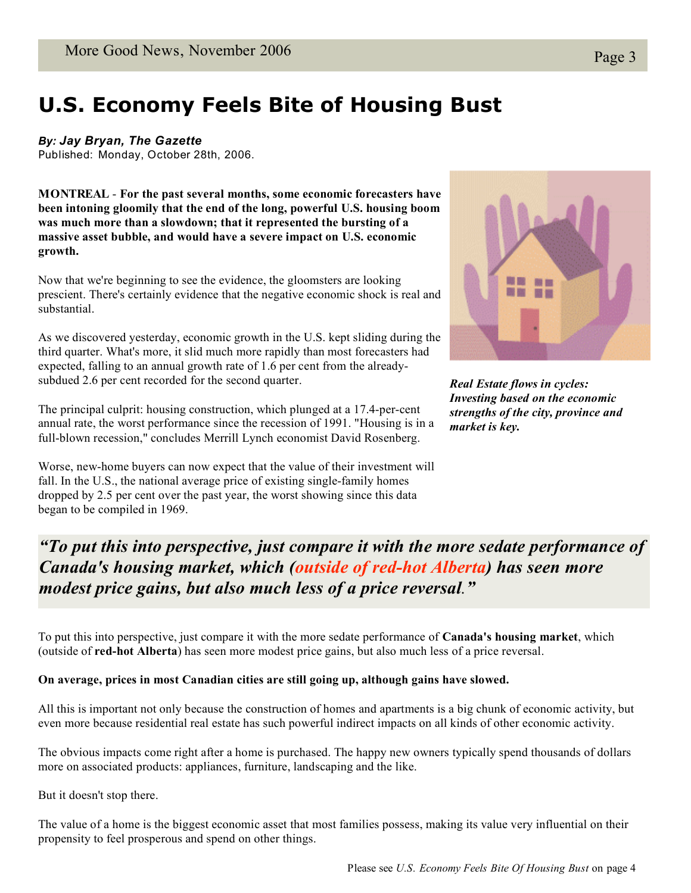# **U.S. Economy Feels Bite of Housing Bust**

*By: Jay Bryan, The Gazette*

Published: Monday, October 28th, 2006.

**MONTREAL** - **For the past several months, some economic forecasters have been intoning gloomily that the end of the long, powerful U.S. housing boom was much more than a slowdown; that it represented the bursting of a massive asset bubble, and would have a severe impact on U.S. economic growth.**

Now that we're beginning to see the evidence, the gloomsters are looking prescient. There's certainly evidence that the negative economic shock is real and substantial.

As we discovered yesterday, economic growth in the U.S. kept sliding during the third quarter. What's more, it slid much more rapidly than most forecasters had expected, falling to an annual growth rate of 1.6 per cent from the alreadysubdued 2.6 per cent recorded for the second quarter.

The principal culprit: housing construction, which plunged at a 17.4-per-cent annual rate, the worst performance since the recession of 1991. "Housing is in a full-blown recession," concludes Merrill Lynch economist David Rosenberg.

Worse, new-home buyers can now expect that the value of their investment will fall. In the U.S., the national average price of existing single-family homes dropped by 2.5 per cent over the past year, the worst showing since this data began to be compiled in 1969.

图像

*Real Estate flows in cycles: Investing based on the economic strengths of the city, province and market is key.*

 $\theta T_{\alpha}$  put this into perspective, insteading the more it with "To put this into perspective, just compare it with the more sedate performance of **Canada's housing market, which (outside of red-hot Alberta) has seen more** *modest price gains, but also much less of a price reversal.*<sup>"</sup>

To put this into perspective, just compare it with the more sedate performance of **Canada's housing market**, which (outside of **red-hot Alberta**) has seen more modest price gains, but also much less of a price reversal.

#### **On average, prices in most Canadian cities are still going up, although gains have slowed.**

All this is important not only because the construction of homes and apartments is a big chunk of economic activity, but even more because residential real estate has such powerful indirect impacts on all kinds of other economic activity.

The obvious impacts come right after a home is purchased. The happy new owners typically spend thousands of dollars more on associated products: appliances, furniture, landscaping and the like.

But it doesn't stop there.

The value of a home is the biggest economic asset that most families possess, making its value very influential on their propensity to feel prosperous and spend on other things.